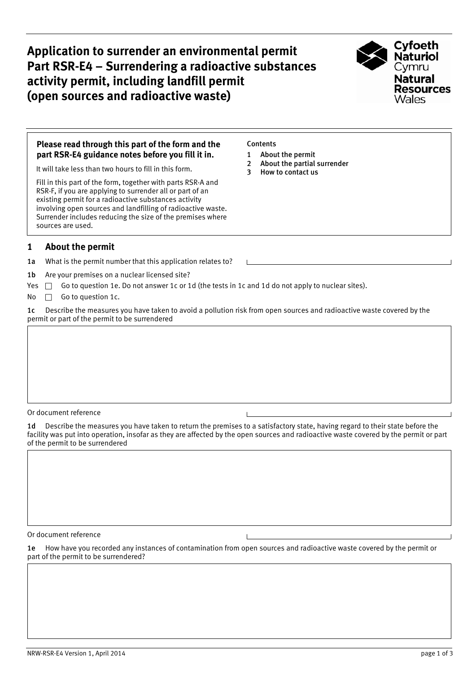**Application to surrender an environmental permit Part RSR-E4 – Surrendering a radioactive substances activity permit, including landfill permit (open sources and radioactive waste)** 



### **Please read through this part of the form and the part RSR-E4 guidance notes before you fill it in.**

It will take less than two hours to fill in this form.

Fill in this part of the form, together with parts RSR-A and RSR-F, if you are applying to surrender all or part of an existing permit for a radioactive substances activity involving open sources and landfilling of radioactive waste. Surrender includes reducing the size of the premises where sources are used.

# **1 About the permit**

1a What is the permit number that this application relates to?

1b Are your premises on a nuclear licensed site?

Yes  $\Box$  Go to question 1e. Do not answer 1c or 1d (the tests in 1c and 1d do not apply to nuclear sites).

No  $\Box$  Go to question 1c.

1c Describe the measures you have taken to avoid a pollution risk from open sources and radioactive waste covered by the permit or part of the permit to be surrendered

Or document reference

1d Describe the measures you have taken to return the premises to a satisfactory state, having regard to their state before the facility was put into operation, insofar as they are affected by the open sources and radioactive waste covered by the permit or part of the permit to be surrendered

Or document reference

1e How have you recorded any instances of contamination from open sources and radioactive waste covered by the permit or part of the permit to be surrendered?

### **Contents**

- 1 About the permit
- [2 About the partial surrender](#page-1-0)
- [3 How to contact us](#page-2-0)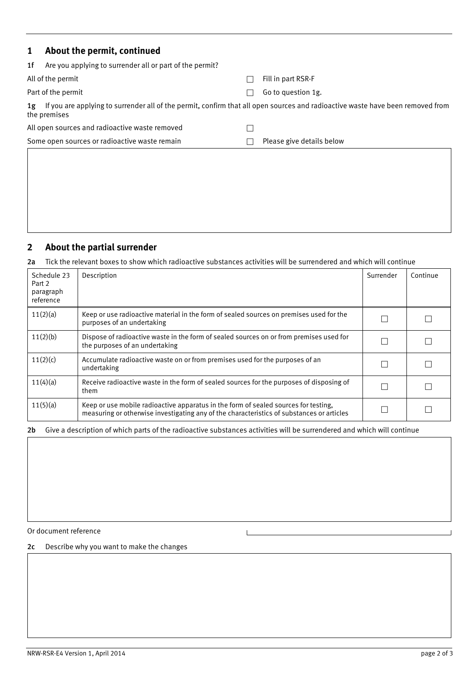<span id="page-1-0"></span>

| $\mathbf{1}$ | About the permit, continued                                                                                                                    |  |                           |  |  |
|--------------|------------------------------------------------------------------------------------------------------------------------------------------------|--|---------------------------|--|--|
| 1f           | Are you applying to surrender all or part of the permit?                                                                                       |  |                           |  |  |
|              | All of the permit                                                                                                                              |  | Fill in part RSR-F        |  |  |
|              | Part of the permit                                                                                                                             |  | Go to question 1g.        |  |  |
| 1g           | If you are applying to surrender all of the permit, confirm that all open sources and radioactive waste have been removed from<br>the premises |  |                           |  |  |
|              | All open sources and radioactive waste removed                                                                                                 |  |                           |  |  |
|              | Some open sources or radioactive waste remain                                                                                                  |  | Please give details below |  |  |
|              |                                                                                                                                                |  |                           |  |  |

# **2 About the partial surrender**

# 2a Tick the relevant boxes to show which radioactive substances activities will be surrendered and which will continue

| Schedule 23<br>Part 2<br>paragraph<br>reference | Description                                                                                                                                                                      | Surrender | Continue |
|-------------------------------------------------|----------------------------------------------------------------------------------------------------------------------------------------------------------------------------------|-----------|----------|
| 11(2)(a)                                        | Keep or use radioactive material in the form of sealed sources on premises used for the<br>purposes of an undertaking                                                            |           |          |
| 11(2)(b)                                        | Dispose of radioactive waste in the form of sealed sources on or from premises used for<br>the purposes of an undertaking                                                        |           |          |
| 11(2)(c)                                        | Accumulate radioactive waste on or from premises used for the purposes of an<br>undertaking                                                                                      |           |          |
| 11(4)(a)                                        | Receive radioactive waste in the form of sealed sources for the purposes of disposing of<br>them                                                                                 |           |          |
| 11(5)(a)                                        | Keep or use mobile radioactive apparatus in the form of sealed sources for testing,<br>measuring or otherwise investigating any of the characteristics of substances or articles |           |          |

2b Give a description of which parts of the radioactive substances activities will be surrendered and which will continue

 $\mathbf{I}$ 

Or document reference

2c Describe why you want to make the changes